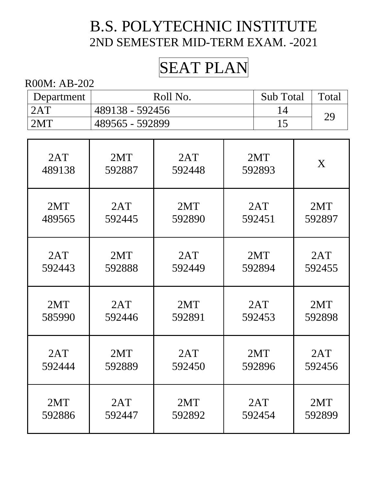# SEAT PLAN

| Department | Roll No.        | Sub Total | Total |
|------------|-----------------|-----------|-------|
| 2AT        | 489138 - 592456 |           | 29    |
| 2MT        | 489565 - 592899 |           |       |

| 2AT    | 2MT    | 2AT    | 2MT    | X      |
|--------|--------|--------|--------|--------|
| 489138 | 592887 | 592448 | 592893 |        |
| 2MT    | 2AT    | 2MT    | 2AT    | 2MT    |
| 489565 | 592445 | 592890 | 592451 | 592897 |
| 2AT    | 2MT    | 2AT    | 2MT    | 2AT    |
| 592443 | 592888 | 592449 | 592894 | 592455 |
| 2MT    | 2AT    | 2MT    | 2AT    | 2MT    |
| 585990 | 592446 | 592891 | 592453 | 592898 |
| 2AT    | 2MT    | 2AT    | 2MT    | 2AT    |
| 592444 | 592889 | 592450 | 592896 | 592456 |
| 2MT    | 2AT    | 2MT    | 2AT    | 2MT    |
| 592886 | 592447 | 592892 | 592454 | 592899 |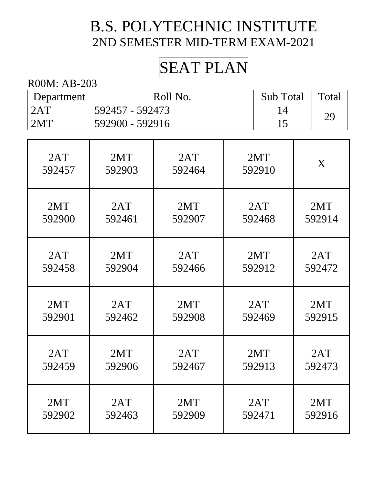# SEAT PLAN

| Department | Roll No.        | <b>Sub</b> Total | Total |
|------------|-----------------|------------------|-------|
| 2AT        | 592457 - 592473 |                  | 29    |
| 2MT        | 592900 - 592916 |                  |       |

| 2AT    | 2MT    | 2AT    | 2MT    | X      |
|--------|--------|--------|--------|--------|
| 592457 | 592903 | 592464 | 592910 |        |
| 2MT    | 2AT    | 2MT    | 2AT    | 2MT    |
| 592900 | 592461 | 592907 | 592468 | 592914 |
| 2AT    | 2MT    | 2AT    | 2MT    | 2AT    |
| 592458 | 592904 | 592466 | 592912 | 592472 |
| 2MT    | 2AT    | 2MT    | 2AT    | 2MT    |
| 592901 | 592462 | 592908 | 592469 | 592915 |
| 2AT    | 2MT    | 2AT    | 2MT    | 2AT    |
| 592459 | 592906 | 592467 | 592913 | 592473 |
| 2MT    | 2AT    | 2MT    | 2AT    | 2MT    |
| 592902 | 592463 | 592909 | 592471 | 592916 |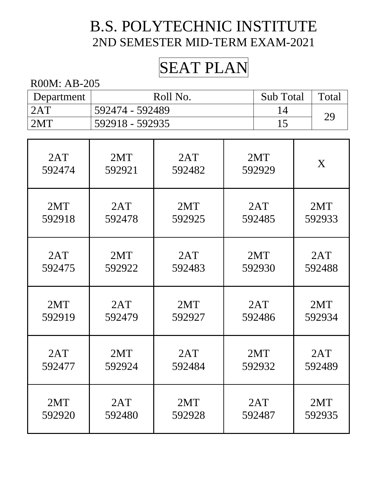# SEAT PLAN

| Department | Roll No.        | Sub Total | Total |
|------------|-----------------|-----------|-------|
| 2AT        | 592474 - 592489 |           | 29    |
| 2MT        | 592918 - 592935 |           |       |

| 2AT    | 2MT    | 2AT    | 2MT    | X      |
|--------|--------|--------|--------|--------|
| 592474 | 592921 | 592482 | 592929 |        |
| 2MT    | 2AT    | 2MT    | 2AT    | 2MT    |
| 592918 | 592478 | 592925 | 592485 | 592933 |
| 2AT    | 2MT    | 2AT    | 2MT    | 2AT    |
| 592475 | 592922 | 592483 | 592930 | 592488 |
| 2MT    | 2AT    | 2MT    | 2AT    | 2MT    |
| 592919 | 592479 | 592927 | 592486 | 592934 |
| 2AT    | 2MT    | 2AT    | 2MT    | 2AT    |
| 592477 | 592924 | 592484 | 592932 | 592489 |
| 2MT    | 2AT    | 2MT    | 2AT    | 2MT    |
| 592920 | 592480 | 592928 | 592487 | 592935 |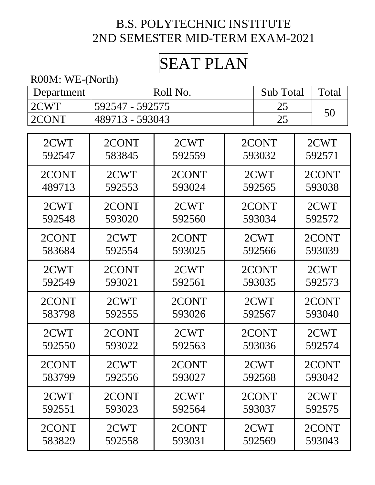# SEAT PLAN

R00M: WE-(North)

| Department | Roll No.        |                 |  | <b>Sub Total</b> |        | Total  |  |
|------------|-----------------|-----------------|--|------------------|--------|--------|--|
| 2CWT       |                 | 592547 - 592575 |  |                  |        |        |  |
| 2CONT      | 489713 - 593043 |                 |  | 25               |        | 50     |  |
|            |                 |                 |  |                  |        |        |  |
| 2CWT       | 2CONT           | 2CWT            |  | 2CONT            |        | 2CWT   |  |
| 592547     | 583845          | 592559          |  | 593032           |        | 592571 |  |
| 2CONT      | 2CWT            | 2CONT           |  | 2CWT             |        | 2CONT  |  |
| 489713     | 592553          | 593024          |  | 592565           |        | 593038 |  |
| 2CWT       | 2CONT           | 2CWT            |  | 2CONT            |        | 2CWT   |  |
| 592548     | 593020          | 592560          |  | 593034           |        | 592572 |  |
| 2CONT      | 2CWT            | 2CONT           |  | 2CWT             | 2CONT  |        |  |
| 583684     | 592554          | 593025          |  | 592566           |        | 593039 |  |
| 2CWT       | 2CONT           | 2CWT            |  | 2CONT            |        | 2CWT   |  |
| 592549     | 593021          | 592561          |  | 593035           |        | 592573 |  |
| 2CONT      | 2CWT            | 2CONT           |  | 2CWT             |        | 2CONT  |  |
| 583798     | 592555          | 593026          |  | 592567           | 593040 |        |  |
| 2CWT       | 2CONT           | 2CWT            |  | 2CONT            |        | 2CWT   |  |
| 592550     | 593022          | 592563          |  | 593036           |        | 592574 |  |
| 2CONT      | 2CWT            | 2CONT           |  | 2CWT             |        | 2CONT  |  |
| 583799     | 592556          | 593027          |  | 592568           |        | 593042 |  |
| 2CWT       | 2CONT           | 2CWT            |  | 2CONT            |        | 2CWT   |  |
| 592551     | 593023          | 592564          |  | 593037           |        | 592575 |  |
| 2CONT      | 2CWT            | 2CONT           |  | 2CWT             |        | 2CONT  |  |
| 583829     | 592558          | 593031          |  | 592569           |        | 593043 |  |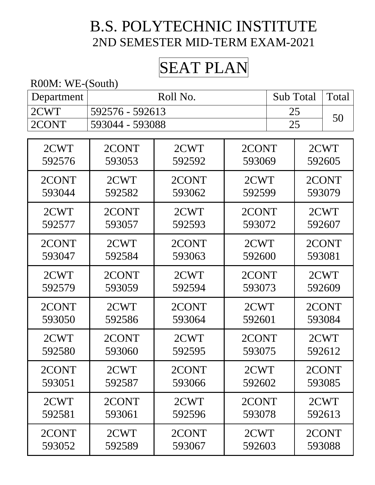# SEAT PLAN

#### R00M: WE-(South)

| Department | Roll No.        | Sub Total   Total |  |
|------------|-----------------|-------------------|--|
| 2CWT       | 592576 - 592613 |                   |  |
| 2CONT      | 593044 - 593088 |                   |  |

| 2CWT   | 2CONT  | 2CWT   | 2CONT  | 2CWT   |
|--------|--------|--------|--------|--------|
| 592576 | 593053 | 592592 | 593069 | 592605 |
| 2CONT  | 2CWT   | 2CONT  | 2CWT   | 2CONT  |
| 593044 | 592582 | 593062 | 592599 | 593079 |
| 2CWT   | 2CONT  | 2CWT   | 2CONT  | 2CWT   |
| 592577 | 593057 | 592593 | 593072 | 592607 |
| 2CONT  | 2CWT   | 2CONT  | 2CWT   | 2CONT  |
| 593047 | 592584 | 593063 | 592600 | 593081 |
| 2CWT   | 2CONT  | 2CWT   | 2CONT  | 2CWT   |
| 592579 | 593059 | 592594 | 593073 | 592609 |
| 2CONT  | 2CWT   | 2CONT  | 2CWT   | 2CONT  |
| 593050 | 592586 | 593064 | 592601 | 593084 |
| 2CWT   | 2CONT  | 2CWT   | 2CONT  | 2CWT   |
| 592580 | 593060 | 592595 | 593075 | 592612 |
| 2CONT  | 2CWT   | 2CONT  | 2CWT   | 2CONT  |
| 593051 | 592587 | 593066 | 592602 | 593085 |
| 2CWT   | 2CONT  | 2CWT   | 2CONT  | 2CWT   |
| 592581 | 593061 | 592596 | 593078 | 592613 |
| 2CONT  | 2CWT   | 2CONT  | 2CWT   | 2CONT  |
| 593052 | 592589 | 593067 | 592603 | 593088 |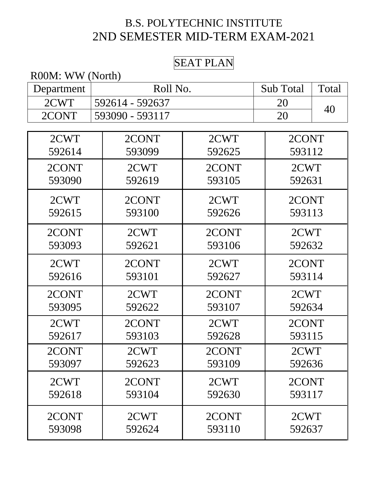#### SEAT PLAN

| R00M: WW (North) |                 |          |        |    |  |  |
|------------------|-----------------|----------|--------|----|--|--|
| Department       |                 | Roll No. |        |    |  |  |
| 2CWT             | 592614 - 592637 |          |        | 40 |  |  |
| 2CONT            | 593090 - 593117 |          | 20     |    |  |  |
|                  |                 |          |        |    |  |  |
| 2CWT             | 2CONT           | 2CWT     | 2CONT  |    |  |  |
| 592614           | 593099          | 592625   | 593112 |    |  |  |
| 2CONT            | 2CWT            | 2CONT    | 2CWT   |    |  |  |
| 593090           | 592619          | 593105   | 592631 |    |  |  |
| 2CWT             | 2CONT           | 2CWT     | 2CONT  |    |  |  |
| 592615           | 593100          | 592626   | 593113 |    |  |  |
| 2CONT            | 2CWT            | 2CONT    | 2CWT   |    |  |  |
| 593093           | 592621          | 593106   | 592632 |    |  |  |
| 2CWT             | 2CONT           | 2CWT     | 2CONT  |    |  |  |
| 592616           | 593101          | 592627   | 593114 |    |  |  |
| 2CONT            | 2CWT            | 2CONT    | 2CWT   |    |  |  |
| 593095           | 592622          | 593107   | 592634 |    |  |  |
| 2CWT             | 2CONT           | 2CWT     | 2CONT  |    |  |  |
| 592617           | 593103          | 592628   | 593115 |    |  |  |
| 2CONT            | 2CWT            | 2CONT    | 2CWT   |    |  |  |
| 593097           | 592623          | 593109   | 592636 |    |  |  |
| 2CWT             | 2CONT           | 2CWT     | 2CONT  |    |  |  |
| 592618           | 593104          | 592630   | 593117 |    |  |  |
| 2CONT            | 2CWT            | 2CONT    | 2CWT   |    |  |  |
| 593098           | 592624          | 593110   | 592637 |    |  |  |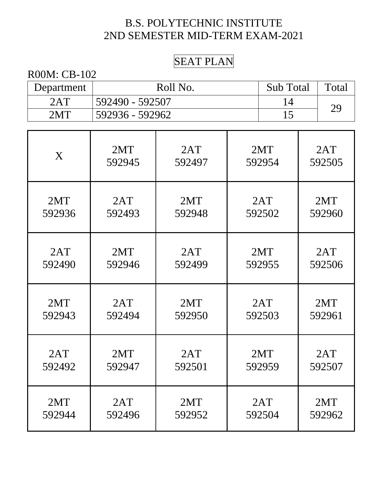#### SEAT PLAN

| R00M: CB-102 |                 |                  |       |  |  |
|--------------|-----------------|------------------|-------|--|--|
| Department   | Roll No.        | <b>Sub</b> Total | Total |  |  |
| 2AT          | 592490 - 592507 |                  | 29    |  |  |
| 2MT          | 592936 - 592962 |                  |       |  |  |

| X      | 2MT    | 2AT    | 2MT    | 2AT    |
|--------|--------|--------|--------|--------|
|        | 592945 | 592497 | 592954 | 592505 |
| 2MT    | 2AT    | 2MT    | 2AT    | 2MT    |
| 592936 | 592493 | 592948 | 592502 | 592960 |
| 2AT    | 2MT    | 2AT    | 2MT    | 2AT    |
| 592490 | 592946 | 592499 | 592955 | 592506 |
| 2MT    | 2AT    | 2MT    | 2AT    | 2MT    |
| 592943 | 592494 | 592950 | 592503 | 592961 |
| 2AT    | 2MT    | 2AT    | 2MT    | 2AT    |
| 592492 | 592947 | 592501 | 592959 | 592507 |
| 2MT    | 2AT    | 2MT    | 2AT    | 2MT    |
| 592944 | 592496 | 592952 | 592504 | 592962 |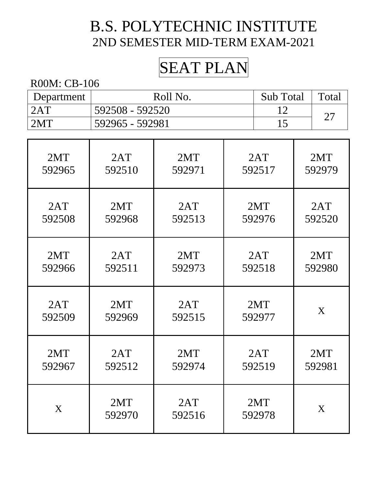# SEAT PLAN

| Department | Roll No.          | <b>Sub</b> Total | Total |
|------------|-------------------|------------------|-------|
| 2AT        | : 592508 - 592520 |                  | ⌒冖    |
| 2MT        | 592965 - 592981   |                  |       |

| 2MT    | 2AT           | 2MT           | 2AT           | 2MT    |
|--------|---------------|---------------|---------------|--------|
| 592965 | 592510        | 592971        | 592517        | 592979 |
| 2AT    | 2MT           | 2AT           | 2MT           | 2AT    |
| 592508 | 592968        | 592513        | 592976        | 592520 |
| 2MT    | 2AT           | 2MT           | 2AT           | 2MT    |
| 592966 | 592511        | 592973        | 592518        | 592980 |
| 2AT    | 2MT           | 2AT           | 2MT           | X      |
| 592509 | 592969        | 592515        | 592977        |        |
| 2MT    | 2AT           | 2MT           | 2AT           | 2MT    |
| 592967 | 592512        | 592974        | 592519        | 592981 |
| X      | 2MT<br>592970 | 2AT<br>592516 | 2MT<br>592978 | X      |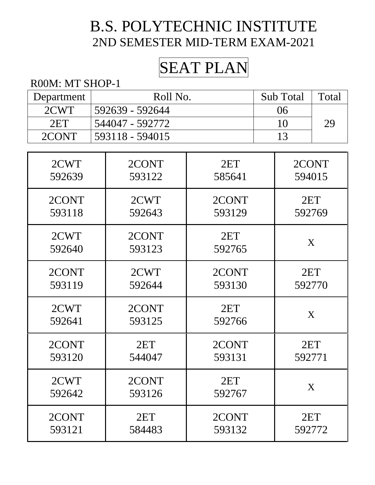# SEAT PLAN

#### R00M: MT SHOP-1

| Department | Roll No.           | Sub Total | Total |
|------------|--------------------|-----------|-------|
| 2CWT       | . 592639 - 592644  | 06        |       |
| 2ET        | 544047 - 592772    |           | 29    |
| 2CONT      | $-593118 - 594015$ |           |       |

| 2CWT   | 2CONT  | 2ET    | 2CONT  |
|--------|--------|--------|--------|
| 592639 | 593122 | 585641 | 594015 |
| 2CONT  | 2CWT   | 2CONT  | 2ET    |
| 593118 | 592643 | 593129 | 592769 |
| 2CWT   | 2CONT  | 2ET    | X      |
| 592640 | 593123 | 592765 |        |
| 2CONT  | 2CWT   | 2CONT  | 2ET    |
| 593119 | 592644 | 593130 | 592770 |
| 2CWT   | 2CONT  | 2ET    | X      |
| 592641 | 593125 | 592766 |        |
| 2CONT  | 2ET    | 2CONT  | 2ET    |
| 593120 | 544047 | 593131 | 592771 |
| 2CWT   | 2CONT  | 2ET    | X      |
| 592642 | 593126 | 592767 |        |
| 2CONT  | 2ET    | 2CONT  | 2ET    |
| 593121 | 584483 | 593132 | 592772 |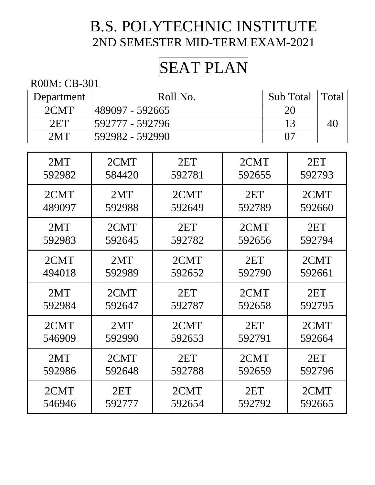# SEAT PLAN

| Department | Roll No.        | Sub Total Total |  |
|------------|-----------------|-----------------|--|
| 2CMT       | 489097 - 592665 |                 |  |
| 2ET        | 592777 - 592796 |                 |  |
| 2MT        | 592982 - 592990 |                 |  |

| 2MT    | 2CMT   | 2ET    | 2CMT   | 2ET    |
|--------|--------|--------|--------|--------|
| 592982 | 584420 | 592781 | 592655 | 592793 |
| 2CMT   | 2MT    | 2CMT   | 2ET    | 2CMT   |
| 489097 | 592988 | 592649 | 592789 | 592660 |
| 2MT    | 2CMT   | 2ET    | 2CMT   | 2ET    |
| 592983 | 592645 | 592782 | 592656 | 592794 |
| 2CMT   | 2MT    | 2CMT   | 2ET    | 2CMT   |
| 494018 | 592989 | 592652 | 592790 | 592661 |
| 2MT    | 2CMT   | 2ET    | 2CMT   | 2ET    |
| 592984 | 592647 | 592787 | 592658 | 592795 |
| 2CMT   | 2MT    | 2CMT   | 2ET    | 2CMT   |
| 546909 | 592990 | 592653 | 592791 | 592664 |
| 2MT    | 2CMT   | 2ET    | 2CMT   | 2ET    |
| 592986 | 592648 | 592788 | 592659 | 592796 |
| 2CMT   | 2ET    | 2CMT   | 2ET    | 2CMT   |
| 546946 | 592777 | 592654 | 592792 | 592665 |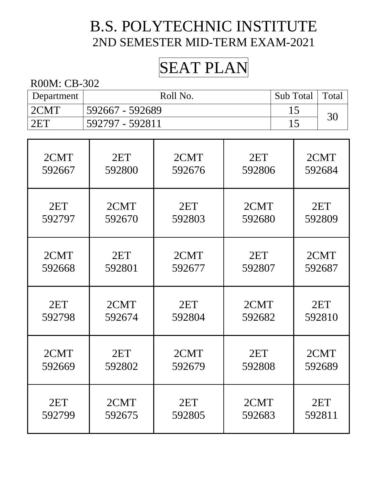# SEAT PLAN

| Department | Roll No.        | Sub Total   Total |    |
|------------|-----------------|-------------------|----|
| 2CMT       | 592667 - 592689 |                   | 30 |
| 2ET        | 592797 - 592811 |                   |    |

| 2CMT   | 2ET    | 2CMT   | 2ET    | 2CMT   |
|--------|--------|--------|--------|--------|
| 592667 | 592800 | 592676 | 592806 | 592684 |
| 2ET    | 2CMT   | 2ET    | 2CMT   | 2ET    |
| 592797 | 592670 | 592803 | 592680 | 592809 |
| 2CMT   | 2ET    | 2CMT   | 2ET    | 2CMT   |
| 592668 | 592801 | 592677 | 592807 | 592687 |
| 2ET    | 2CMT   | 2ET    | 2CMT   | 2ET    |
| 592798 | 592674 | 592804 | 592682 | 592810 |
| 2CMT   | 2ET    | 2CMT   | 2ET    | 2CMT   |
| 592669 | 592802 | 592679 | 592808 | 592689 |
| 2ET    | 2CMT   | 2ET    | 2CMT   | 2ET    |
| 592799 | 592675 | 592805 | 592683 | 592811 |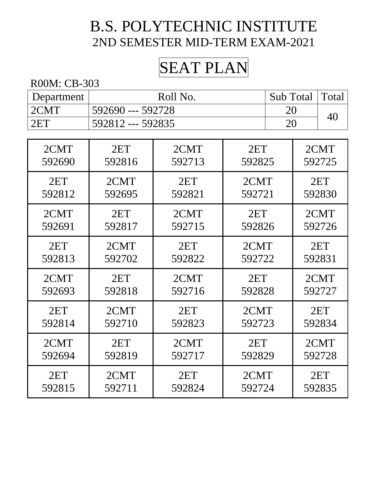# SEAT PLAN

| Department | Roll No.          | Sub Total   Total |  |
|------------|-------------------|-------------------|--|
| 2CMT       | 592690 --- 592728 | 20                |  |
| 2ET        | 592812 --- 592835 | 20                |  |

| 2CMT   | 2ET    | 2CMT   | 2ET    | 2CMT   |
|--------|--------|--------|--------|--------|
| 592690 | 592816 | 592713 | 592825 | 592725 |
| 2ET    | 2CMT   | 2ET    | 2CMT   | 2ET    |
| 592812 | 592695 | 592821 | 592721 | 592830 |
| 2CMT   | 2ET    | 2CMT   | 2ET    | 2CMT   |
| 592691 | 592817 | 592715 | 592826 | 592726 |
| 2ET    | 2CMT   | 2ET    | 2CMT   | 2ET    |
| 592813 | 592702 | 592822 | 592722 | 592831 |
| 2CMT   | 2ET    | 2CMT   | 2ET    | 2CMT   |
| 592693 | 592818 | 592716 | 592828 | 592727 |
| 2ET    | 2CMT   | 2ET    | 2CMT   | 2ET    |
| 592814 | 592710 | 592823 | 592723 | 592834 |
| 2CMT   | 2ET    | 2CMT   | 2ET    | 2CMT   |
| 592694 | 592819 | 592717 | 592829 | 592728 |
| 2ET    | 2CMT   | 2ET    | 2CMT   | 2ET    |
| 592815 | 592711 | 592824 | 592724 | 592835 |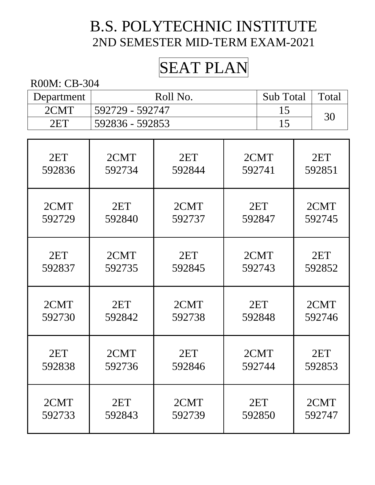# SEAT PLAN

| Department | Roll No.         | Sub Total | Total |
|------------|------------------|-----------|-------|
| 2CMT       | .592729 - 592747 |           | 30    |
| 2ET        | 592836 - 592853  |           |       |

| 2ET    | 2CMT   | 2ET    | 2CMT   | 2ET    |
|--------|--------|--------|--------|--------|
| 592836 | 592734 | 592844 | 592741 | 592851 |
| 2CMT   | 2ET    | 2CMT   | 2ET    | 2CMT   |
| 592729 | 592840 | 592737 | 592847 | 592745 |
| 2ET    | 2CMT   | 2ET    | 2CMT   | 2ET    |
| 592837 | 592735 | 592845 | 592743 | 592852 |
| 2CMT   | 2ET    | 2CMT   | 2ET    | 2CMT   |
| 592730 | 592842 | 592738 | 592848 | 592746 |
| 2ET    | 2CMT   | 2ET    | 2CMT   | 2ET    |
| 592838 | 592736 | 592846 | 592744 | 592853 |
| 2CMT   | 2ET    | 2CMT   | 2ET    | 2CMT   |
| 592733 | 592843 | 592739 | 592850 | 592747 |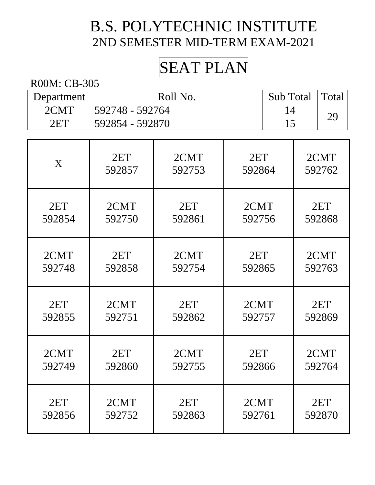# SEAT PLAN

| Department | Roll No.        | Sub Total   Total |  |
|------------|-----------------|-------------------|--|
| 2CMT       | 592748 - 592764 |                   |  |
| 2ET        | 592854 - 592870 |                   |  |

| X      | 2ET    | 2CMT   | 2ET    | 2CMT   |
|--------|--------|--------|--------|--------|
|        | 592857 | 592753 | 592864 | 592762 |
| 2ET    | 2CMT   | 2ET    | 2CMT   | 2ET    |
| 592854 | 592750 | 592861 | 592756 | 592868 |
| 2CMT   | 2ET    | 2CMT   | 2ET    | 2CMT   |
| 592748 | 592858 | 592754 | 592865 | 592763 |
| 2ET    | 2CMT   | 2ET    | 2CMT   | 2ET    |
| 592855 | 592751 | 592862 | 592757 | 592869 |
| 2CMT   | 2ET    | 2CMT   | 2ET    | 2CMT   |
| 592749 | 592860 | 592755 | 592866 | 592764 |
| 2ET    | 2CMT   | 2ET    | 2CMT   | 2ET    |
| 592856 | 592752 | 592863 | 592761 | 592870 |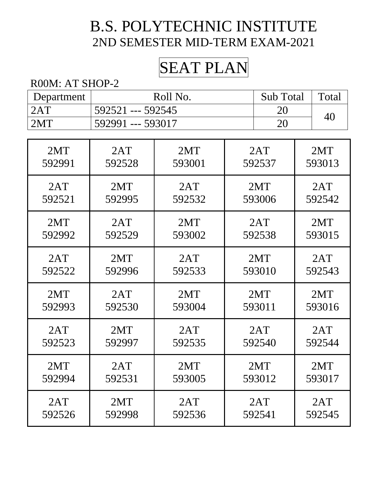# SEAT PLAN

#### R00M: AT SHOP-2

| Department | Roll No.          | Sub Total   Total |    |
|------------|-------------------|-------------------|----|
| 2AT        | 592521 --- 592545 |                   | 40 |
| 2MT        | 592991 --- 593017 | 20                |    |

| 2MT    | 2AT    | 2MT    | 2AT    | 2MT    |
|--------|--------|--------|--------|--------|
| 592991 | 592528 | 593001 | 592537 | 593013 |
| 2AT    | 2MT    | 2AT    | 2MT    | 2AT    |
| 592521 | 592995 | 592532 | 593006 | 592542 |
| 2MT    | 2AT    | 2MT    | 2AT    | 2MT    |
| 592992 | 592529 | 593002 | 592538 | 593015 |
| 2AT    | 2MT    | 2AT    | 2MT    | 2AT    |
| 592522 | 592996 | 592533 | 593010 | 592543 |
| 2MT    | 2AT    | 2MT    | 2MT    | 2MT    |
| 592993 | 592530 | 593004 | 593011 | 593016 |
| 2AT    | 2MT    | 2AT    | 2AT    | 2AT    |
| 592523 | 592997 | 592535 | 592540 | 592544 |
| 2MT    | 2AT    | 2MT    | 2MT    | 2MT    |
| 592994 | 592531 | 593005 | 593012 | 593017 |
| 2AT    | 2MT    | 2AT    | 2AT    | 2AT    |
| 592526 | 592998 | 592536 | 592541 | 592545 |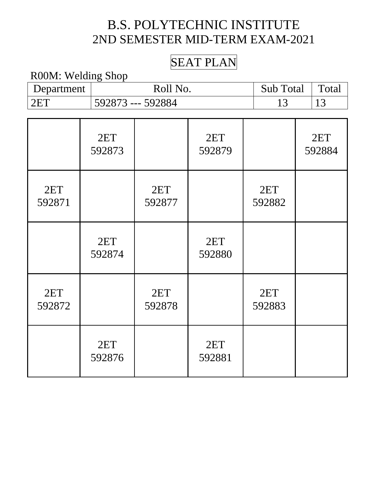## SEAT PLAN

#### R00M: Welding Shop

| Department    | Roll No.      |                   |               | Sub Total | Total         |               |
|---------------|---------------|-------------------|---------------|-----------|---------------|---------------|
| 2ET           |               | 592873 --- 592884 |               |           | 13            | 13            |
|               |               |                   |               |           |               |               |
|               | 2ET<br>592873 |                   | 2ET<br>592879 |           |               | 2ET<br>592884 |
| 2ET<br>592871 |               | 2ET<br>592877     |               |           | 2ET<br>592882 |               |
|               | 2ET<br>592874 |                   | 2ET<br>592880 |           |               |               |
| 2ET<br>592872 |               | 2ET<br>592878     |               |           | 2ET<br>592883 |               |
|               | 2ET<br>592876 |                   | 2ET<br>592881 |           |               |               |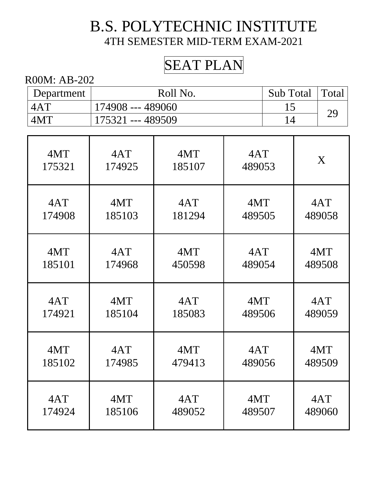# SEAT PLAN

| Department | Roll No.          | Sub Total   Total |  |
|------------|-------------------|-------------------|--|
| 4AT        | 174908 --- 489060 |                   |  |
| 4MT        | 175321 --- 489509 |                   |  |

| 4MT    | 4AT    | 4MT    | 4AT    | X      |
|--------|--------|--------|--------|--------|
| 175321 | 174925 | 185107 | 489053 |        |
| 4AT    | 4MT    | 4AT    | 4MT    | 4AT    |
| 174908 | 185103 | 181294 | 489505 | 489058 |
| 4MT    | 4AT    | 4MT    | 4AT    | 4MT    |
| 185101 | 174968 | 450598 | 489054 | 489508 |
| 4AT    | 4MT    | 4AT    | 4MT    | 4AT    |
| 174921 | 185104 | 185083 | 489506 | 489059 |
| 4MT    | 4AT    | 4MT    | 4AT    | 4MT    |
| 185102 | 174985 | 479413 | 489056 | 489509 |
| 4AT    | 4MT    | 4AT    | 4MT    | 4AT    |
| 174924 | 185106 | 489052 | 489507 | 489060 |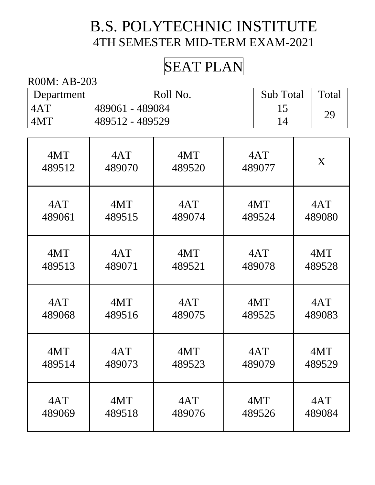# SEAT PLAN

| Department | Roll No.        | Sub Total | Total |
|------------|-----------------|-----------|-------|
| 4AT        | 489061 - 489084 |           | 29    |
| 4MT        | 489512 - 489529 |           |       |

| 4MT    | 4AT    | 4MT    | 4AT    | X      |
|--------|--------|--------|--------|--------|
| 489512 | 489070 | 489520 | 489077 |        |
| 4AT    | 4MT    | 4AT    | 4MT    | 4AT    |
| 489061 | 489515 | 489074 | 489524 | 489080 |
| 4MT    | 4AT    | 4MT    | 4AT    | 4MT    |
| 489513 | 489071 | 489521 | 489078 | 489528 |
| 4AT    | 4MT    | 4AT    | 4MT    | 4AT    |
| 489068 | 489516 | 489075 | 489525 | 489083 |
| 4MT    | 4AT    | 4MT    | 4AT    | 4MT    |
| 489514 | 489073 | 489523 | 489079 | 489529 |
| 4AT    | 4MT    | 4AT    | 4MT    | 4AT    |
| 489069 | 489518 | 489076 | 489526 | 489084 |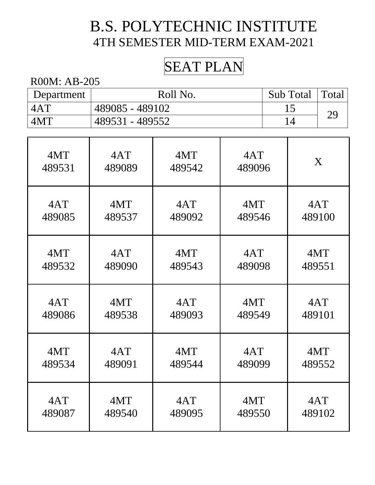## SEAT PLAN

| Department | Roll No.        | Sub Total   Total |  |
|------------|-----------------|-------------------|--|
| 4AT        | 489085 - 489102 |                   |  |
| 4MT        | 489531 - 489552 |                   |  |

| 4MT    | 4AT    | 4MT    | 4AT    | X      |
|--------|--------|--------|--------|--------|
| 489531 | 489089 | 489542 | 489096 |        |
| 4AT    | 4MT    | 4AT    | 4MT    | 4AT    |
| 489085 | 489537 | 489092 | 489546 | 489100 |
| 4MT    | 4AT    | 4MT    | 4AT    | 4MT    |
| 489532 | 489090 | 489543 | 489098 | 489551 |
| 4AT    | 4MT    | 4AT    | 4MT    | 4AT    |
| 489086 | 489538 | 489093 | 489549 | 489101 |
| 4MT    | 4AT    | 4MT    | 4AT    | 4MT    |
| 489534 | 489091 | 489544 | 489099 | 489552 |
| 4AT    | 4MT    | 4AT    | 4MT    | 4AT    |
| 489087 | 489540 | 489095 | 489550 | 489102 |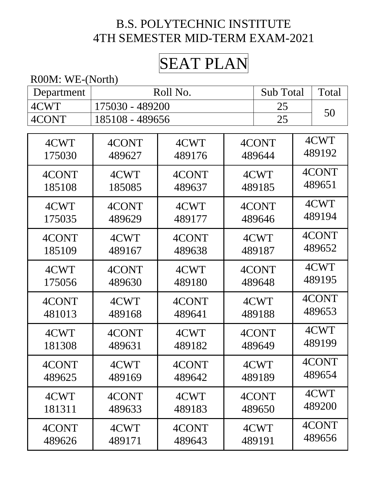# SEAT PLAN

R00M: WE-(North)

| Department | Roll No.        |        |        | Sub Total |  | Total  |
|------------|-----------------|--------|--------|-----------|--|--------|
| 4CWT       | 175030 - 489200 |        |        | 25        |  |        |
| 4CONT      | 185108 - 489656 |        |        | 25        |  | 50     |
|            |                 |        |        |           |  |        |
| 4CWT       | 4CONT           | 4CWT   |        | 4CONT     |  | 4CWT   |
| 175030     | 489627          | 489176 |        | 489644    |  | 489192 |
| 4CONT      | 4CWT            | 4CONT  |        | 4CWT      |  | 4CONT  |
| 185108     | 185085          | 489637 |        | 489185    |  | 489651 |
| 4CWT       | 4CONT           | 4CWT   |        | 4CONT     |  | 4CWT   |
| 175035     | 489629          | 489177 |        | 489646    |  | 489194 |
| 4CONT      | 4CWT            | 4CONT  |        | 4CWT      |  | 4CONT  |
| 185109     | 489167          | 489638 | 489187 |           |  | 489652 |
| 4CWT       | 4CONT           | 4CWT   | 4CONT  |           |  | 4CWT   |
| 175056     | 489630          | 489180 |        | 489648    |  | 489195 |
| 4CONT      | 4CWT            | 4CONT  |        | 4CWT      |  | 4CONT  |
| 481013     | 489168          | 489641 |        | 489188    |  | 489653 |
| 4CWT       | 4CONT           | 4CWT   |        | 4CONT     |  | 4CWT   |
| 181308     | 489631          | 489182 |        | 489649    |  | 489199 |
| 4CONT      | 4CWT            | 4CONT  |        | 4CWT      |  | 4CONT  |
| 489625     | 489169          | 489642 | 489189 |           |  | 489654 |
| 4CWT       | 4CONT           | 4CWT   | 4CONT  |           |  | 4CWT   |
| 181311     | 489633          | 489183 | 489650 |           |  | 489200 |
| 4CONT      | 4CWT            | 4CONT  | 4CWT   |           |  | 4CONT  |
| 489626     | 489171          | 489643 |        | 489191    |  | 489656 |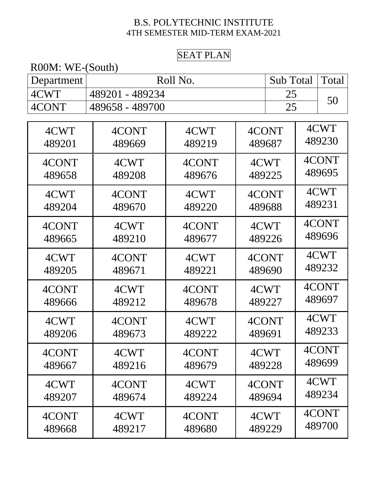#### SEAT PLAN

| R00M: WE-(South) |                       |        |        |        |       |        |
|------------------|-----------------------|--------|--------|--------|-------|--------|
| Department       | Roll No.<br>Sub Total |        |        |        | Total |        |
| 4CWT             | 489201 - 489234       |        |        | 25     |       |        |
| 4CONT            | 489658 - 489700       |        |        | 25     |       | 50     |
|                  |                       |        |        |        |       |        |
| 4CWT             | 4CONT                 | 4CWT   |        | 4CONT  |       | 4CWT   |
| 489201           | 489669                | 489219 | 489687 |        |       | 489230 |
| 4CONT            | 4CWT                  | 4CONT  |        | 4CWT   |       | 4CONT  |
| 489658           | 489208                | 489676 | 489225 |        |       | 489695 |
| 4CWT             | 4CONT                 | 4CWT   |        | 4CONT  |       | 4CWT   |
| 489204           | 489670                | 489220 | 489688 |        |       | 489231 |
| 4CONT            | 4CWT                  | 4CONT  | 4CWT   |        |       | 4CONT  |
| 489665           | 489210                | 489677 |        | 489226 |       | 489696 |
| 4CWT             | 4CONT                 | 4CWT   |        | 4CONT  |       | 4CWT   |
| 489205           | 489671                | 489221 | 489690 |        |       | 489232 |
| 4CONT            | 4CWT                  | 4CONT  | 4CWT   |        |       | 4CONT  |
| 489666           | 489212                | 489678 | 489227 |        |       | 489697 |
| 4CWT             | 4CONT                 | 4CWT   |        | 4CONT  |       | 4CWT   |
| 489206           | 489673                | 489222 | 489691 |        |       | 489233 |
| 4CONT            | 4CWT                  | 4CONT  | 4CWT   |        |       | 4CONT  |
| 489667           | 489216                | 489679 | 489228 |        |       | 489699 |
| 4CWT             | 4CONT                 | 4CWT   |        | 4CONT  |       | 4CWT   |
| 489207           | 489674                | 489224 | 489694 |        |       | 489234 |
| 4CONT            | 4CWT                  | 4CONT  |        | 4CWT   |       | 4CONT  |
| 489668           | 489217                | 489680 |        | 489229 |       | 489700 |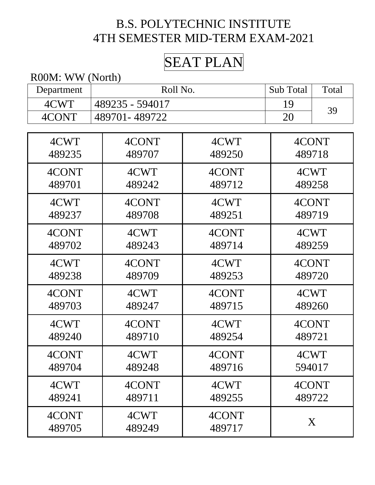# SEAT PLAN

R00M: WW (North)

| Department | Roll No.        |        | Sub Total | Total  |
|------------|-----------------|--------|-----------|--------|
| 4CWT       | 489235 - 594017 |        | 19        |        |
| 4CONT      | 489701-489722   | 20     | 39        |        |
|            |                 |        |           |        |
| 4CWT       | 4CONT           | 4CWT   | 4CONT     |        |
| 489235     | 489707          | 489250 | 489718    |        |
| 4CONT      | 4CWT            | 4CONT  | 4CWT      |        |
| 489701     | 489242          | 489712 | 489258    |        |
| 4CWT       | 4CONT           | 4CWT   | 4CONT     |        |
| 489237     | 489708          | 489251 | 489719    |        |
| 4CONT      | 4CWT            | 4CONT  | 4CWT      |        |
| 489702     | 489243          | 489714 | 489259    |        |
| 4CWT       | 4CONT           | 4CWT   | 4CONT     |        |
| 489238     | 489709          | 489253 | 489720    |        |
| 4CONT      | 4CWT            | 4CONT  | 4CWT      |        |
| 489703     | 489247          | 489715 | 489260    |        |
| 4CWT       | 4CONT           | 4CWT   | 4CONT     |        |
| 489240     | 489710          | 489254 | 489721    |        |
| 4CONT      | 4CWT            | 4CONT  | 4CWT      |        |
| 489704     | 489248          | 489716 | 594017    |        |
| 4CWT       | 4CONT           | 4CWT   |           | 4CONT  |
| 489241     | 489711          | 489255 |           | 489722 |
| 4CONT      | 4CWT            | 4CONT  |           | X      |
| 489705     | 489249          | 489717 |           |        |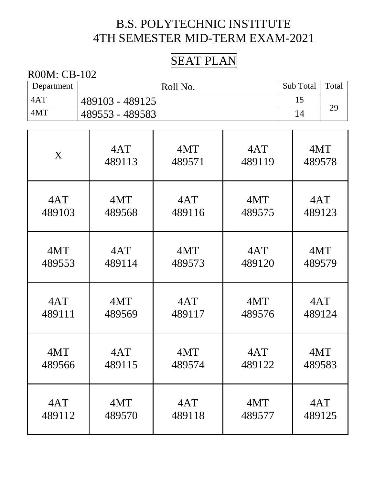### SEAT PLAN

| Department | Roll No.        | Sub Total | Total |
|------------|-----------------|-----------|-------|
| 4AT        | 489103 - 489125 |           |       |
| 4MT        | 489553 - 489583 |           | 29    |

| X      | 4AT    | 4MT    | 4AT    | 4MT    |
|--------|--------|--------|--------|--------|
|        | 489113 | 489571 | 489119 | 489578 |
| 4AT    | 4MT    | 4AT    | 4MT    | 4AT    |
| 489103 | 489568 | 489116 | 489575 | 489123 |
| 4MT    | 4AT    | 4MT    | 4AT    | 4MT    |
| 489553 | 489114 | 489573 | 489120 | 489579 |
| 4AT    | 4MT    | 4AT    | 4MT    | 4AT    |
| 489111 | 489569 | 489117 | 489576 | 489124 |
| 4MT    | 4AT    | 4MT    | 4AT    | 4MT    |
| 489566 | 489115 | 489574 | 489122 | 489583 |
| 4AT    | 4MT    | 4AT    | 4MT    | 4AT    |
| 489112 | 489570 | 489118 | 489577 | 489125 |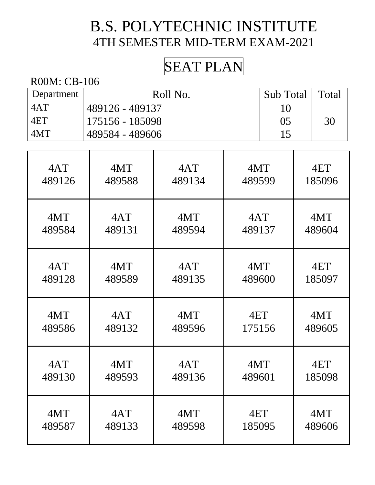# SEAT PLAN

| Department | Roll No.         | Sub Total      | Total |
|------------|------------------|----------------|-------|
| 4AT        | 489126 - 489137  | 10             |       |
| 4ET        | 175156 - 185098  | 0 <sub>5</sub> | 30    |
| 4MT        | 1489584 - 489606 | 15             |       |

| 4AT    | 4MT    | 4AT    | 4MT    | 4ET    |
|--------|--------|--------|--------|--------|
| 489126 | 489588 | 489134 | 489599 | 185096 |
| 4MT    | 4AT    | 4MT    | 4AT    | 4MT    |
| 489584 | 489131 | 489594 | 489137 | 489604 |
| 4AT    | 4MT    | 4AT    | 4MT    | 4ET    |
| 489128 | 489589 | 489135 | 489600 | 185097 |
| 4MT    | 4AT    | 4MT    | 4ET    | 4MT    |
| 489586 | 489132 | 489596 | 175156 | 489605 |
| 4AT    | 4MT    | 4AT    | 4MT    | 4ET    |
| 489130 | 489593 | 489136 | 489601 | 185098 |
| 4MT    | 4AT    | 4MT    | 4ET    | 4MT    |
| 489587 | 489133 | 489598 | 185095 | 489606 |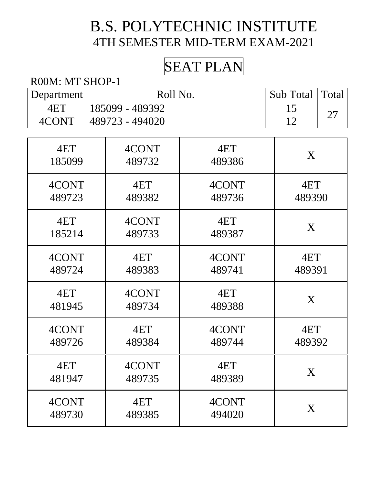# SEAT PLAN

#### R00M: MT SHOP-1

| Department | Roll No.        | Sub Total   Total |                        |
|------------|-----------------|-------------------|------------------------|
| 4ET        | 185099 - 489392 |                   | $\mathop{\sim}\limits$ |
| 4CONT      | 489723 - 494020 |                   |                        |

| 4ET    | 4CONT  | 4ET    | X      |
|--------|--------|--------|--------|
| 185099 | 489732 | 489386 |        |
| 4CONT  | 4ET    | 4CONT  | 4ET    |
| 489723 | 489382 | 489736 | 489390 |
| 4ET    | 4CONT  | 4ET    | X      |
| 185214 | 489733 | 489387 |        |
| 4CONT  | 4ET    | 4CONT  | 4ET    |
| 489724 | 489383 | 489741 | 489391 |
| 4ET    | 4CONT  | 4ET    | X      |
| 481945 | 489734 | 489388 |        |
| 4CONT  | 4ET    | 4CONT  | 4ET    |
| 489726 | 489384 | 489744 | 489392 |
| 4ET    | 4CONT  | 4ET    | X      |
| 481947 | 489735 | 489389 |        |
| 4CONT  | 4ET    | 4CONT  | X      |
| 489730 | 489385 | 494020 |        |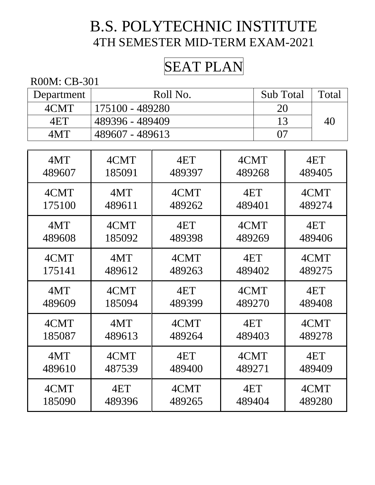# SEAT PLAN

| Department | Roll No.        | <b>Sub</b> Total | Total |
|------------|-----------------|------------------|-------|
| 4CMT       | 175100 - 489280 | 20               |       |
| 4ET        | 489396 - 489409 |                  | 40    |
| 4MT        | 489607 - 489613 |                  |       |

| 4MT    | 4CMT   | 4ET    | 4CMT   | 4ET    |
|--------|--------|--------|--------|--------|
| 489607 | 185091 | 489397 | 489268 | 489405 |
| 4CMT   | 4MT    | 4CMT   | 4ET    | 4CMT   |
| 175100 | 489611 | 489262 | 489401 | 489274 |
| 4MT    | 4CMT   | 4ET    | 4CMT   | 4ET    |
| 489608 | 185092 | 489398 | 489269 | 489406 |
| 4CMT   | 4MT    | 4CMT   | 4ET    | 4CMT   |
| 175141 | 489612 | 489263 | 489402 | 489275 |
| 4MT    | 4CMT   | 4ET    | 4CMT   | 4ET    |
| 489609 | 185094 | 489399 | 489270 | 489408 |
| 4CMT   | 4MT    | 4CMT   | 4ET    | 4CMT   |
| 185087 | 489613 | 489264 | 489403 | 489278 |
| 4MT    | 4CMT   | 4ET    | 4CMT   | 4ET    |
| 489610 | 487539 | 489400 | 489271 | 489409 |
| 4CMT   | 4ET    | 4CMT   | 4ET    | 4CMT   |
| 185090 | 489396 | 489265 | 489404 | 489280 |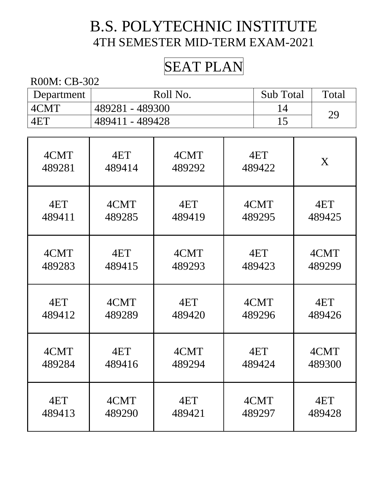# SEAT PLAN

| Department | Roll No.        | <b>Sub</b> Total | Total |
|------------|-----------------|------------------|-------|
| 4CMT       | 489281 - 489300 |                  | 29    |
| 4ET        | 489411 - 489428 |                  |       |

| 4CMT   | 4ET    | 4CMT   | 4ET    | X      |
|--------|--------|--------|--------|--------|
| 489281 | 489414 | 489292 | 489422 |        |
| 4ET    | 4CMT   | 4ET    | 4CMT   | 4ET    |
| 489411 | 489285 | 489419 | 489295 | 489425 |
| 4CMT   | 4ET    | 4CMT   | 4ET    | 4CMT   |
| 489283 | 489415 | 489293 | 489423 | 489299 |
| 4ET    | 4CMT   | 4ET    | 4CMT   | 4ET    |
| 489412 | 489289 | 489420 | 489296 | 489426 |
| 4CMT   | 4ET    | 4CMT   | 4ET    | 4CMT   |
| 489284 | 489416 | 489294 | 489424 | 489300 |
| 4ET    | 4CMT   | 4ET    | 4CMT   | 4ET    |
| 489413 | 489290 | 489421 | 489297 | 489428 |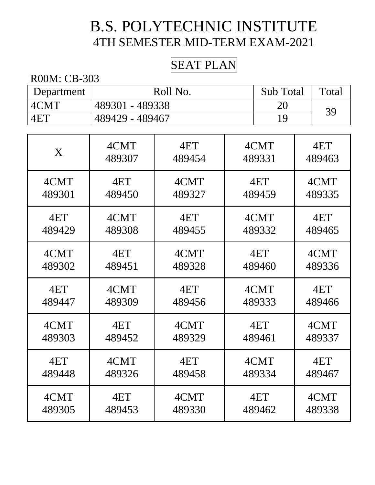### SEAT PLAN

| Department | Roll No.        | <b>Sub</b> Total | Total |
|------------|-----------------|------------------|-------|
| 4CMT       | 489301 - 489338 | 20               | 39    |
| 4ET        | 489429 - 489467 | 1 Q              |       |

| X      | 4CMT   | 4ET    | 4CMT   | 4ET    |
|--------|--------|--------|--------|--------|
|        | 489307 | 489454 | 489331 | 489463 |
| 4CMT   | 4ET    | 4CMT   | 4ET    | 4CMT   |
| 489301 | 489450 | 489327 | 489459 | 489335 |
| 4ET    | 4CMT   | 4ET    | 4CMT   | 4ET    |
| 489429 | 489308 | 489455 | 489332 | 489465 |
| 4CMT   | 4ET    | 4CMT   | 4ET    | 4CMT   |
| 489302 | 489451 | 489328 | 489460 | 489336 |
| 4ET    | 4CMT   | 4ET    | 4CMT   | 4ET    |
| 489447 | 489309 | 489456 | 489333 | 489466 |
| 4CMT   | 4ET    | 4CMT   | 4ET    | 4CMT   |
| 489303 | 489452 | 489329 | 489461 | 489337 |
| 4ET    | 4CMT   | 4ET    | 4CMT   | 4ET    |
| 489448 | 489326 | 489458 | 489334 | 489467 |
| 4CMT   | 4ET    | 4CMT   | 4ET    | 4CMT   |
| 489305 | 489453 | 489330 | 489462 | 489338 |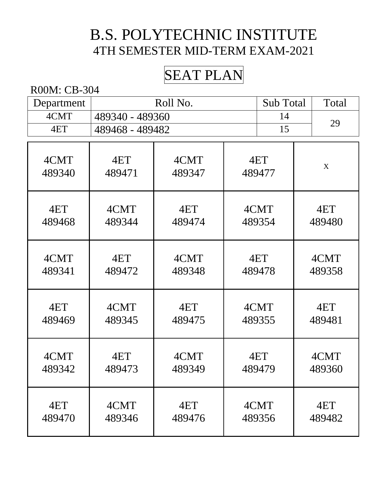# SEAT PLAN

| Department     | Roll No.        |                |               | Sub Total      | Total          |
|----------------|-----------------|----------------|---------------|----------------|----------------|
| 4CMT           | 489340 - 489360 |                | 14            | 29             |                |
| 4ET            | 489468 - 489482 |                |               | 15             |                |
|                |                 |                |               |                |                |
| 4CMT           | 4ET             | 4CMT           |               | 4ET            | $\mathbf X$    |
| 489340         | 489471          | 489347         |               | 489477         |                |
| 4ET<br>489468  | 4CMT<br>489344  | 4ET<br>489474  |               | 4CMT<br>489354 | 4ET<br>489480  |
| 4CMT<br>489341 | 4ET<br>489472   | 4CMT<br>489348 | 4ET<br>489478 |                | 4CMT<br>489358 |
| 4ET<br>489469  | 4CMT<br>489345  | 4ET<br>489475  |               | 4CMT<br>489355 | 4ET<br>489481  |
| 4CMT<br>489342 | 4ET<br>489473   | 4CMT<br>489349 |               | 4ET<br>489479  | 4CMT<br>489360 |
| 4ET<br>489470  | 4CMT<br>489346  | 4ET<br>489476  |               | 4CMT<br>489356 | 4ET<br>489482  |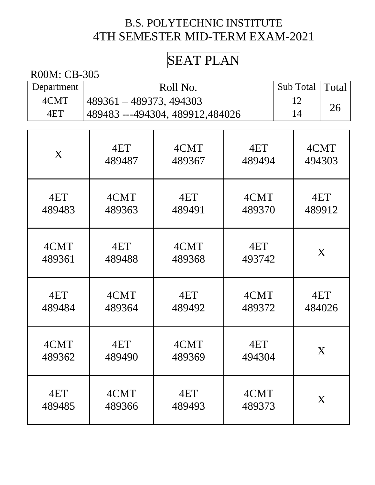# SEAT PLAN

| Department | Roll No.                        | Sub Total   Total |    |
|------------|---------------------------------|-------------------|----|
| 4CMT       | 489361 – 489373, 494303         |                   | 26 |
| 4ET        | 489483 ---494304, 489912,484026 | 14                |    |

| X      | 4ET    | 4CMT   | 4ET    | 4CMT   |
|--------|--------|--------|--------|--------|
|        | 489487 | 489367 | 489494 | 494303 |
| 4ET    | 4CMT   | 4ET    | 4CMT   | 4ET    |
| 489483 | 489363 | 489491 | 489370 | 489912 |
| 4CMT   | 4ET    | 4CMT   | 4ET    | X      |
| 489361 | 489488 | 489368 | 493742 |        |
| 4ET    | 4CMT   | 4ET    | 4CMT   | 4ET    |
| 489484 | 489364 | 489492 | 489372 | 484026 |
| 4CMT   | 4ET    | 4CMT   | 4ET    | X      |
| 489362 | 489490 | 489369 | 494304 |        |
| 4ET    | 4CMT   | 4ET    | 4CMT   | X      |
| 489485 | 489366 | 489493 | 489373 |        |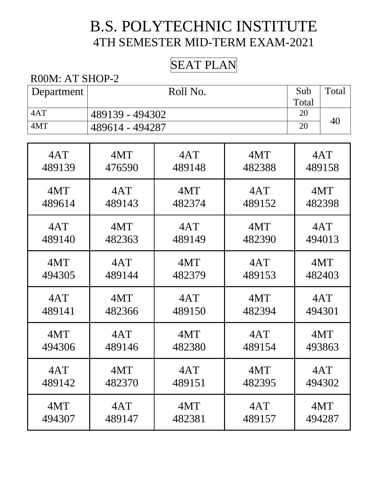### SEAT PLAN

#### R00M: AT SHOP-2

| Department | Roll No.        | Sub   | Total |
|------------|-----------------|-------|-------|
|            |                 | Total |       |
| 4AT        | 489139 - 494302 | 20    |       |
| 4MT        | 489614 - 494287 | 20    | 40    |

| 4AT    | 4MT    | 4AT    | 4MT    | 4AT    |
|--------|--------|--------|--------|--------|
| 489139 | 476590 | 489148 | 482388 | 489158 |
| 4MT    | 4AT    | 4MT    | 4AT    | 4MT    |
| 489614 | 489143 | 482374 | 489152 | 482398 |
| 4AT    | 4MT    | 4AT    | 4MT    | 4AT    |
| 489140 | 482363 | 489149 | 482390 | 494013 |
| 4MT    | 4AT    | 4MT    | 4AT    | 4MT    |
| 494305 | 489144 | 482379 | 489153 | 482403 |
| 4AT    | 4MT    | 4AT    | 4MT    | 4AT    |
| 489141 | 482366 | 489150 | 482394 | 494301 |
| 4MT    | 4AT    | 4MT    | 4AT    | 4MT    |
| 494306 | 489146 | 482380 | 489154 | 493863 |
| 4AT    | 4MT    | 4AT    | 4MT    | 4AT    |
| 489142 | 482370 | 489151 | 482395 | 494302 |
| 4MT    | 4AT    | 4MT    | 4AT    | 4MT    |
| 494307 | 489147 | 482381 | 489157 | 494287 |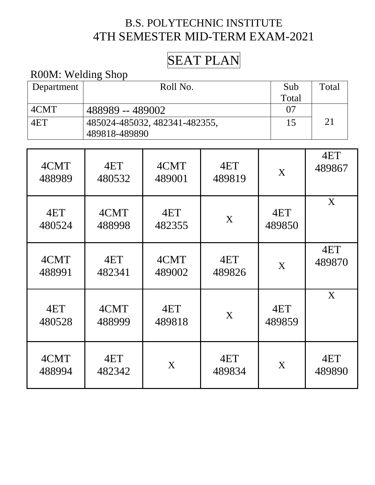## SEAT PLAN

#### R00M: Welding Shop

| Department | Roll No.                      | Sub      | Total |
|------------|-------------------------------|----------|-------|
|            |                               | Total    |       |
| 4CMT       | 488989 -- 489002              | $\Omega$ |       |
| 4ET        | 485024-485032, 482341-482355, | 15       | 21    |
|            | 489818-489890                 |          |       |

| 4CMT<br>488989 | 4ET<br>480532  | 4CMT<br>489001 | 4ET<br>489819 | X             | 4ET<br>489867 |
|----------------|----------------|----------------|---------------|---------------|---------------|
| 4ET<br>480524  | 4CMT<br>488998 | 4ET<br>482355  | X             | 4ET<br>489850 | X             |
| 4CMT<br>488991 | 4ET<br>482341  | 4CMT<br>489002 | 4ET<br>489826 | X             | 4ET<br>489870 |
| 4ET<br>480528  | 4CMT<br>488999 | 4ET<br>489818  | X             | 4ET<br>489859 | X             |
| 4CMT<br>488994 | 4ET<br>482342  | X              | 4ET<br>489834 | X             | 4ET<br>489890 |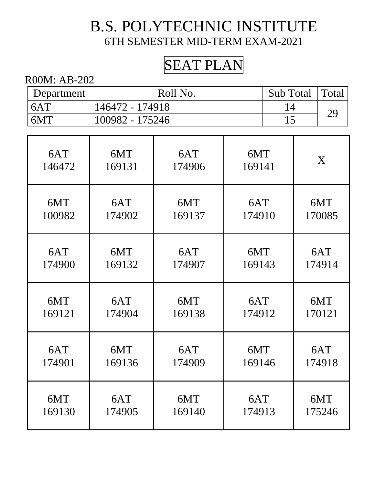# SEAT PLAN

| Department | Roll No.        | Sub Total   Total |  |
|------------|-----------------|-------------------|--|
| 6AT        | 146472 - 174918 |                   |  |
| 6MT        | 100982 - 175246 |                   |  |

| 6AT    | 6MT    | 6AT    | 6MT    | X      |
|--------|--------|--------|--------|--------|
| 146472 | 169131 | 174906 | 169141 |        |
| 6MT    | 6AT    | 6MT    | 6AT    | 6MT    |
| 100982 | 174902 | 169137 | 174910 | 170085 |
| 6AT    | 6MT    | 6AT    | 6MT    | 6AT    |
| 174900 | 169132 | 174907 | 169143 | 174914 |
| 6MT    | 6AT    | 6MT    | 6AT    | 6MT    |
| 169121 | 174904 | 169138 | 174912 | 170121 |
| 6AT    | 6MT    | 6AT    | 6MT    | 6AT    |
| 174901 | 169136 | 174909 | 169146 | 174918 |
| 6MT    | 6AT    | 6MT    | 6AT    | 6MT    |
| 169130 | 174905 | 169140 | 174913 | 175246 |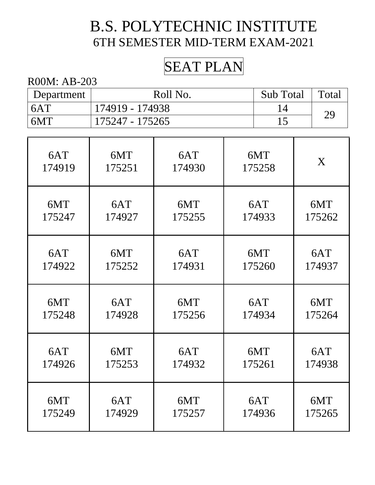## SEAT PLAN

| Department     | Roll No.        | Sub Total | Total |
|----------------|-----------------|-----------|-------|
| 6AT            | 174919 - 174938 |           | 29    |
| $\overline{M}$ | 175247 - 175265 |           |       |

| 6AT    | 6MT    | 6AT    | 6MT    | X      |
|--------|--------|--------|--------|--------|
| 174919 | 175251 | 174930 | 175258 |        |
| 6MT    | 6AT    | 6MT    | 6AT    | 6MT    |
| 175247 | 174927 | 175255 | 174933 | 175262 |
| 6AT    | 6MT    | 6AT    | 6MT    | 6AT    |
| 174922 | 175252 | 174931 | 175260 | 174937 |
| 6MT    | 6AT    | 6MT    | 6AT    | 6MT    |
| 175248 | 174928 | 175256 | 174934 | 175264 |
| 6AT    | 6MT    | 6AT    | 6MT    | 6AT    |
| 174926 | 175253 | 174932 | 175261 | 174938 |
| 6MT    | 6AT    | 6MT    | 6AT    | 6MT    |
| 175249 | 174929 | 175257 | 174936 | 175265 |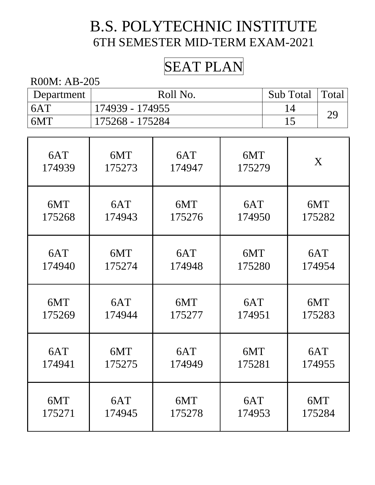## SEAT PLAN

| Department | Roll No.        | Sub Total   Total |  |
|------------|-----------------|-------------------|--|
| 6AT        | 174939 - 174955 |                   |  |
| 6MT        | 175268 - 175284 |                   |  |

| 6AT    | 6MT    | 6AT    | 6MT    | X      |
|--------|--------|--------|--------|--------|
| 174939 | 175273 | 174947 | 175279 |        |
| 6MT    | 6AT    | 6MT    | 6AT    | 6MT    |
| 175268 | 174943 | 175276 | 174950 | 175282 |
| 6AT    | 6MT    | 6AT    | 6MT    | 6AT    |
| 174940 | 175274 | 174948 | 175280 | 174954 |
| 6MT    | 6AT    | 6MT    | 6AT    | 6MT    |
| 175269 | 174944 | 175277 | 174951 | 175283 |
| 6AT    | 6MT    | 6AT    | 6MT    | 6AT    |
| 174941 | 175275 | 174949 | 175281 | 174955 |
| 6MT    | 6AT    | 6MT    | 6AT    | 6MT    |
| 175271 | 174945 | 175278 | 174953 | 175284 |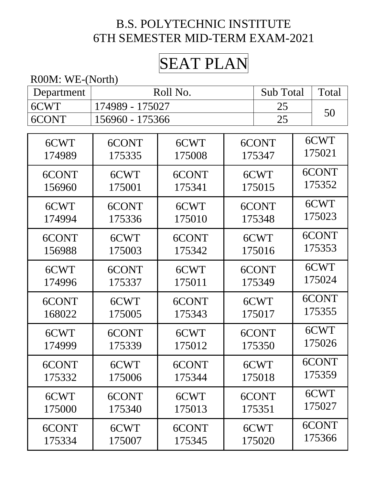# SEAT PLAN

R00M: WE-(North)

| Department | Roll No.        |        |  | <b>Sub Total</b> |  | Total  |
|------------|-----------------|--------|--|------------------|--|--------|
| 6CWT       | 174989 - 175027 |        |  | 25               |  |        |
| 6CONT      | 156960 - 175366 |        |  | 25               |  | 50     |
|            |                 |        |  |                  |  |        |
| 6CWT       | 6CONT           | 6CWT   |  | 6CONT            |  | 6CWT   |
| 174989     | 175335          | 175008 |  | 175347           |  | 175021 |
| 6CONT      | 6CWT            | 6CONT  |  | 6CWT             |  | 6CONT  |
| 156960     | 175001          | 175341 |  | 175015           |  | 175352 |
| 6CWT       | 6CONT           | 6CWT   |  | 6CONT            |  | 6CWT   |
| 174994     | 175336          | 175010 |  | 175348           |  | 175023 |
| 6CONT      | 6CWT            | 6CONT  |  | 6CWT             |  | 6CONT  |
| 156988     | 175003          | 175342 |  | 175016           |  | 175353 |
| 6CWT       | 6CONT           | 6CWT   |  | 6CONT            |  | 6CWT   |
| 174996     | 175337          | 175011 |  | 175349           |  | 175024 |
| 6CONT      | 6CWT            | 6CONT  |  | 6CWT             |  | 6CONT  |
| 168022     | 175005          | 175343 |  | 175017           |  | 175355 |
| 6CWT       | 6CONT           | 6CWT   |  | 6CONT            |  | 6CWT   |
| 174999     | 175339          | 175012 |  | 175350           |  | 175026 |
| 6CONT      | 6CWT            | 6CONT  |  | 6CWT             |  | 6CONT  |
| 175332     | 175006          | 175344 |  | 175018           |  | 175359 |
| 6CWT       | 6CONT           | 6CWT   |  | 6CONT            |  | 6CWT   |
| 175000     | 175340          | 175013 |  | 175351           |  | 175027 |
| 6CONT      | 6CWT            | 6CONT  |  | 6CWT             |  | 6CONT  |
| 175334     | 175007          | 175345 |  | 175020           |  | 175366 |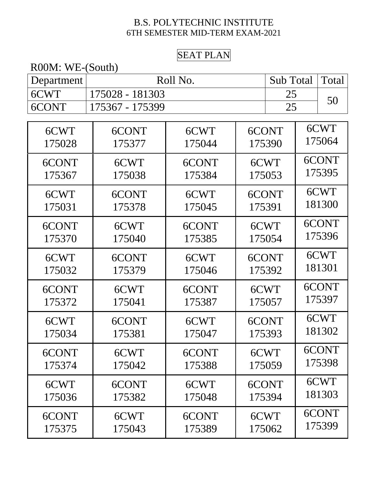#### SEAT PLAN

| R00M: WE-(South) |                 |          |        |           |  |        |
|------------------|-----------------|----------|--------|-----------|--|--------|
| Department       |                 | Roll No. |        | Sub Total |  | Total  |
| 6CWT             | 175028 - 181303 |          |        | 25        |  |        |
| 6CONT            | 175367 - 175399 |          |        | 25        |  | 50     |
|                  |                 |          |        |           |  |        |
| 6CWT             | 6CONT           | 6CWT     |        | 6CONT     |  | 6CWT   |
| 175028           | 175377          | 175044   |        | 175390    |  | 175064 |
| 6CONT            | 6CWT            | 6CONT    |        | 6CWT      |  | 6CONT  |
| 175367           | 175038          | 175384   |        | 175053    |  | 175395 |
| 6CWT             | 6CONT           | 6CWT     |        | 6CONT     |  | 6CWT   |
| 175031           | 175378          | 175045   | 175391 |           |  | 181300 |
| 6CONT            | 6CWT            | 6CONT    |        | 6CWT      |  | 6CONT  |
| 175370           | 175040          | 175385   |        | 175054    |  | 175396 |
| 6CWT             | 6CONT           | 6CWT     |        | 6CONT     |  | 6CWT   |
| 175032           | 175379          | 175046   |        | 175392    |  | 181301 |
| 6CONT            | 6CWT            | 6CONT    |        | 6CWT      |  | 6CONT  |
| 175372           | 175041          | 175387   |        | 175057    |  | 175397 |
| 6CWT             | 6CONT           | 6CWT     |        | 6CONT     |  | 6CWT   |
| 175034           | 175381          | 175047   |        | 175393    |  | 181302 |
| 6CONT            | 6CWT            | 6CONT    |        | 6CWT      |  | 6CONT  |
| 175374           | 175042          | 175388   |        | 175059    |  | 175398 |
| 6CWT             | 6CONT           | 6CWT     |        | 6CONT     |  | 6CWT   |
| 175036           | 175382          | 175048   |        | 175394    |  | 181303 |
| 6CONT            | 6CWT            | 6CONT    |        | 6CWT      |  | 6CONT  |
| 175375           | 175043          | 175389   |        | 175062    |  | 175399 |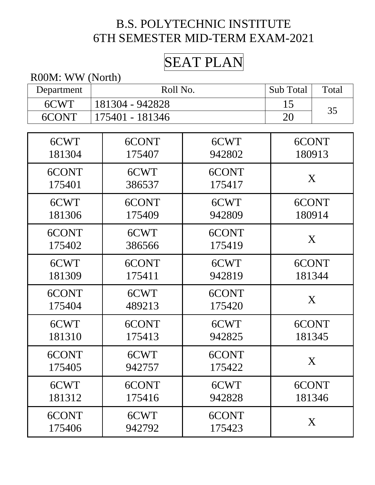# SEAT PLAN

R00M: WW (North)

| Department | Roll No.        |        | Sub Total | Total  |
|------------|-----------------|--------|-----------|--------|
| 6CWT       | 181304 - 942828 |        | 15        |        |
| 6CONT      | 175401 - 181346 |        | 20        | 35     |
|            |                 |        |           |        |
| 6CWT       | 6CONT           | 6CWT   |           | 6CONT  |
| 181304     | 175407          | 942802 | 180913    |        |
| 6CONT      | 6CWT            | 6CONT  |           |        |
| 175401     | 386537          | 175417 |           | X      |
| 6CWT       | 6CONT           | 6CWT   |           | 6CONT  |
| 181306     | 175409          | 942809 |           | 180914 |
| 6CONT      | 6CWT            | 6CONT  |           |        |
| 175402     | 386566          | 175419 |           | X      |
| 6CWT       | 6CONT           | 6CWT   |           | 6CONT  |
| 181309     | 175411          | 942819 |           | 181344 |
| 6CONT      | 6CWT            | 6CONT  |           | X      |
| 175404     | 489213          | 175420 |           |        |
| 6CWT       | 6CONT           | 6CWT   |           | 6CONT  |
| 181310     | 175413          | 942825 |           | 181345 |
| 6CONT      | 6CWT            | 6CONT  |           |        |
| 175405     | 942757          | 175422 | X         |        |
| 6CWT       | 6CONT           | 6CWT   |           | 6CONT  |
| 181312     | 175416          | 942828 |           | 181346 |
| 6CONT      | 6CWT            | 6CONT  |           |        |
| 175406     | 942792          | 175423 |           | X      |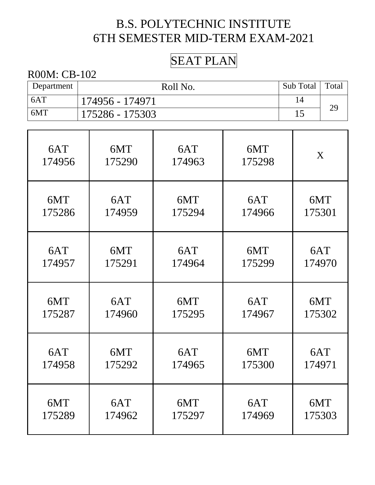### SEAT PLAN

| Department | Roll No.        | Sub Total | Total |
|------------|-----------------|-----------|-------|
| 6AT        | 174956 - 174971 |           |       |
| 6MT        | 175286 - 175303 |           | 29    |

| 6AT    | 6MT    | 6AT    | 6MT    | X      |
|--------|--------|--------|--------|--------|
| 174956 | 175290 | 174963 | 175298 |        |
| 6MT    | 6AT    | 6MT    | 6AT    | 6MT    |
| 175286 | 174959 | 175294 | 174966 | 175301 |
| 6AT    | 6MT    | 6AT    | 6MT    | 6AT    |
| 174957 | 175291 | 174964 | 175299 | 174970 |
| 6MT    | 6AT    | 6MT    | 6AT    | 6MT    |
| 175287 | 174960 | 175295 | 174967 | 175302 |
| 6AT    | 6MT    | 6AT    | 6MT    | 6AT    |
| 174958 | 175292 | 174965 | 175300 | 174971 |
| 6MT    | 6AT    | 6MT    | 6AT    | 6MT    |
| 175289 | 174962 | 175297 | 174969 | 175303 |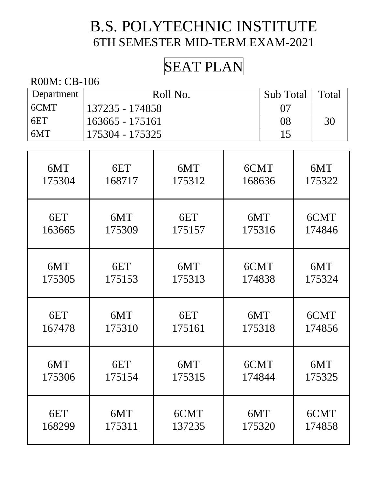# SEAT PLAN

| Department | Roll No.        | Sub Total | Total |
|------------|-----------------|-----------|-------|
| 6CMT       | 137235 - 174858 | 07        |       |
| 6ET        | 163665 - 175161 | 08        | 30    |
| 6MT        | 175304 - 175325 | 1 5       |       |

| 6MT    | 6ET    | 6MT    | 6CMT   | 6MT    |
|--------|--------|--------|--------|--------|
| 175304 | 168717 | 175312 | 168636 | 175322 |
| 6ET    | 6MT    | 6ET    | 6MT    | 6CMT   |
| 163665 | 175309 | 175157 | 175316 | 174846 |
| 6MT    | 6ET    | 6MT    | 6CMT   | 6MT    |
| 175305 | 175153 | 175313 | 174838 | 175324 |
| 6ET    | 6MT    | 6ET    | 6MT    | 6CMT   |
| 167478 | 175310 | 175161 | 175318 | 174856 |
| 6MT    | 6ET    | 6MT    | 6CMT   | 6MT    |
| 175306 | 175154 | 175315 | 174844 | 175325 |
| 6ET    | 6MT    | 6CMT   | 6MT    | 6CMT   |
| 168299 | 175311 | 137235 | 175320 | 174858 |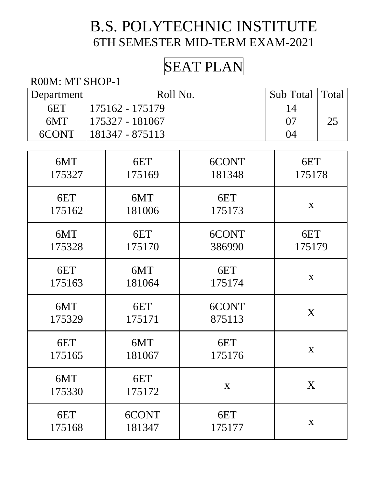# SEAT PLAN

#### R00M: MT SHOP-1

| Department | Roll No.        | Sub Total   Total |  |
|------------|-----------------|-------------------|--|
| 6ET        | 175162 - 175179 |                   |  |
| 6MT        | 175327 - 181067 |                   |  |
| $6$ CONT   | 181347 - 875113 | 14                |  |

| 6MT           | 6ET           | 6CONT  | 6ET         |
|---------------|---------------|--------|-------------|
| 175327        | 175169        | 181348 | 175178      |
| 6ET           | 6MT           | 6ET    | $\mathbf X$ |
| 175162        | 181006        | 175173 |             |
| 6MT           | 6ET           | 6CONT  | 6ET         |
| 175328        | 175170        | 386990 | 175179      |
| 6ET           | 6MT           | 6ET    | X           |
| 175163        | 181064        | 175174 |             |
| 6MT           | 6ET           | 6CONT  | X           |
| 175329        | 175171        | 875113 |             |
| 6ET           | 6MT           | 6ET    | X           |
| 175165        | 181067        | 175176 |             |
| 6MT<br>175330 | 6ET<br>175172 | X      | X           |
| 6ET           | 6CONT         | 6ET    | $\mathbf X$ |
| 175168        | 181347        | 175177 |             |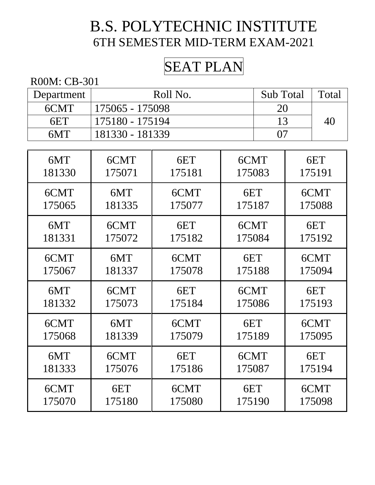# SEAT PLAN

| Department | Roll No.        | Sub Total | Total |
|------------|-----------------|-----------|-------|
| 6CMT       | 175065 - 175098 | 20        |       |
| 6ET        | 175180 - 175194 |           | 40    |
| 6MT        | 181330 - 181339 |           |       |

| 6MT    | 6CMT   | 6ET    | 6CMT   | 6ET    |
|--------|--------|--------|--------|--------|
| 181330 | 175071 | 175181 | 175083 | 175191 |
| 6CMT   | 6MT    | 6CMT   | 6ET    | 6CMT   |
| 175065 | 181335 | 175077 | 175187 | 175088 |
| 6MT    | 6CMT   | 6ET    | 6CMT   | 6ET    |
| 181331 | 175072 | 175182 | 175084 | 175192 |
| 6CMT   | 6MT    | 6CMT   | 6ET    | 6CMT   |
| 175067 | 181337 | 175078 | 175188 | 175094 |
| 6MT    | 6CMT   | 6ET    | 6CMT   | 6ET    |
| 181332 | 175073 | 175184 | 175086 | 175193 |
| 6CMT   | 6MT    | 6CMT   | 6ET    | 6CMT   |
| 175068 | 181339 | 175079 | 175189 | 175095 |
| 6MT    | 6CMT   | 6ET    | 6CMT   | 6ET    |
| 181333 | 175076 | 175186 | 175087 | 175194 |
| 6CMT   | 6ET    | 6CMT   | 6ET    | 6CMT   |
| 175070 | 175180 | 175080 | 175190 | 175098 |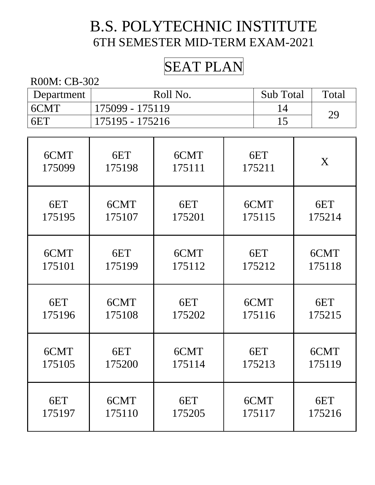## SEAT PLAN

| Department | Roll No.        | <b>Sub Total</b> | Total |
|------------|-----------------|------------------|-------|
| 6CMT       | 175099 - 175119 |                  | 29    |
| 6ET        | 175195 - 175216 |                  |       |

| 6CMT   | 6ET    | 6CMT   | 6ET    | X      |
|--------|--------|--------|--------|--------|
| 175099 | 175198 | 175111 | 175211 |        |
| 6ET    | 6CMT   | 6ET    | 6CMT   | 6ET    |
| 175195 | 175107 | 175201 | 175115 | 175214 |
| 6CMT   | 6ET    | 6CMT   | 6ET    | 6CMT   |
| 175101 | 175199 | 175112 | 175212 | 175118 |
| 6ET    | 6CMT   | 6ET    | 6CMT   | 6ET    |
| 175196 | 175108 | 175202 | 175116 | 175215 |
| 6CMT   | 6ET    | 6CMT   | 6ET    | 6CMT   |
| 175105 | 175200 | 175114 | 175213 | 175119 |
| 6ET    | 6CMT   | 6ET    | 6CMT   | 6ET    |
| 175197 | 175110 | 175205 | 175117 | 175216 |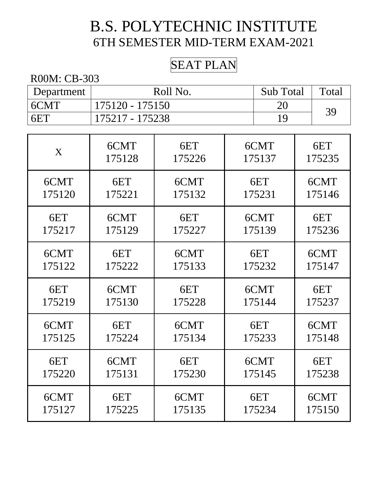### SEAT PLAN

| Department | Roll No.        | <b>Sub Total</b> | Total |
|------------|-----------------|------------------|-------|
| 6CMT       | 175120 - 175150 | 20               | 39    |
| 6ET        | 175217 - 175238 | 1 Q              |       |

| X      | 6CMT   | 6ET    | 6CMT   | 6ET    |
|--------|--------|--------|--------|--------|
|        | 175128 | 175226 | 175137 | 175235 |
| 6CMT   | 6ET    | 6CMT   | 6ET    | 6CMT   |
| 175120 | 175221 | 175132 | 175231 | 175146 |
| 6ET    | 6CMT   | 6ET    | 6CMT   | 6ET    |
| 175217 | 175129 | 175227 | 175139 | 175236 |
| 6CMT   | 6ET    | 6CMT   | 6ET    | 6CMT   |
| 175122 | 175222 | 175133 | 175232 | 175147 |
| 6ET    | 6CMT   | 6ET    | 6CMT   | 6ET    |
| 175219 | 175130 | 175228 | 175144 | 175237 |
| 6CMT   | 6ET    | 6CMT   | 6ET    | 6CMT   |
| 175125 | 175224 | 175134 | 175233 | 175148 |
| 6ET    | 6CMT   | 6ET    | 6CMT   | 6ET    |
| 175220 | 175131 | 175230 | 175145 | 175238 |
| 6CMT   | 6ET    | 6CMT   | 6ET    | 6CMT   |
| 175127 | 175225 | 175135 | 175234 | 175150 |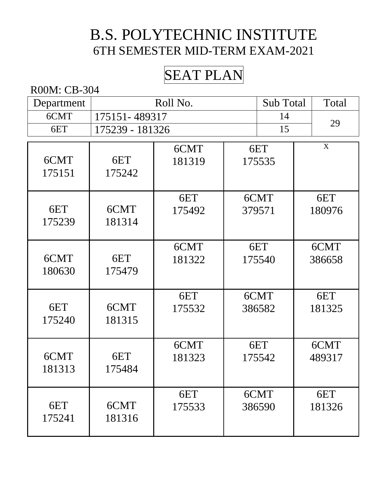# SEAT PLAN

| Department |                 | Roll No. |  | Sub Total | Total |        |
|------------|-----------------|----------|--|-----------|-------|--------|
| 6CMT       | 175151-489317   |          |  | 14        |       |        |
| 6ET        | 175239 - 181326 |          |  | 15        |       | 29     |
|            |                 | 6CMT     |  | 6ET       |       | X      |
| 6CMT       | 6ET             | 181319   |  | 175535    |       |        |
| 175151     | 175242          |          |  |           |       |        |
|            |                 |          |  |           |       |        |
|            |                 | 6ET      |  | 6CMT      |       | 6ET    |
| 6ET        | 6CMT            | 175492   |  | 379571    |       | 180976 |
| 175239     | 181314          |          |  |           |       |        |
|            |                 | 6CMT     |  | 6ET       |       | 6CMT   |
| 6CMT       | 6ET             | 181322   |  | 175540    |       | 386658 |
| 180630     | 175479          |          |  |           |       |        |
|            |                 |          |  |           |       |        |
|            |                 | 6ET      |  | 6CMT      |       | 6ET    |
| 6ET        | 6CMT            | 175532   |  | 386582    |       | 181325 |
| 175240     | 181315          |          |  |           |       |        |
|            |                 | 6CMT     |  | 6ET       |       | 6CMT   |
| 6CMT       | 6ET             | 181323   |  | 175542    |       | 489317 |
| 181313     | 175484          |          |  |           |       |        |
|            |                 |          |  |           |       |        |
|            |                 | 6ET      |  | 6CMT      |       | 6ET    |
| 6ET        | 6CMT            | 175533   |  | 386590    |       | 181326 |
| 175241     | 181316          |          |  |           |       |        |
|            |                 |          |  |           |       |        |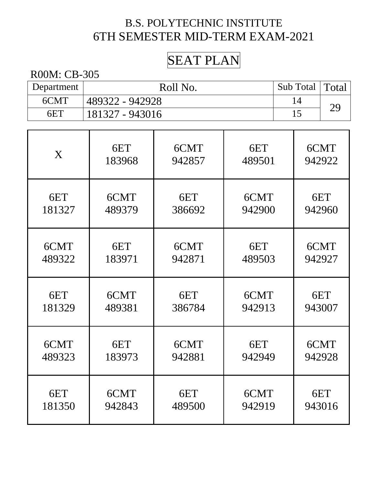# SEAT PLAN

| Department | Roll No.        | Sub Total | 'Total         |
|------------|-----------------|-----------|----------------|
| 6CMT       | 489322 - 942928 |           | 2 <sub>G</sub> |
| 6ET        | 181327 - 943016 |           |                |

| X      | 6ET    | 6CMT   | 6ET    | 6CMT   |
|--------|--------|--------|--------|--------|
|        | 183968 | 942857 | 489501 | 942922 |
| 6ET    | 6CMT   | 6ET    | 6CMT   | 6ET    |
| 181327 | 489379 | 386692 | 942900 | 942960 |
| 6CMT   | 6ET    | 6CMT   | 6ET    | 6CMT   |
| 489322 | 183971 | 942871 | 489503 | 942927 |
| 6ET    | 6CMT   | 6ET    | 6CMT   | 6ET    |
| 181329 | 489381 | 386784 | 942913 | 943007 |
| 6CMT   | 6ET    | 6CMT   | 6ET    | 6CMT   |
| 489323 | 183973 | 942881 | 942949 | 942928 |
| 6ET    | 6CMT   | 6ET    | 6CMT   | 6ET    |
| 181350 | 942843 | 489500 | 942919 | 943016 |